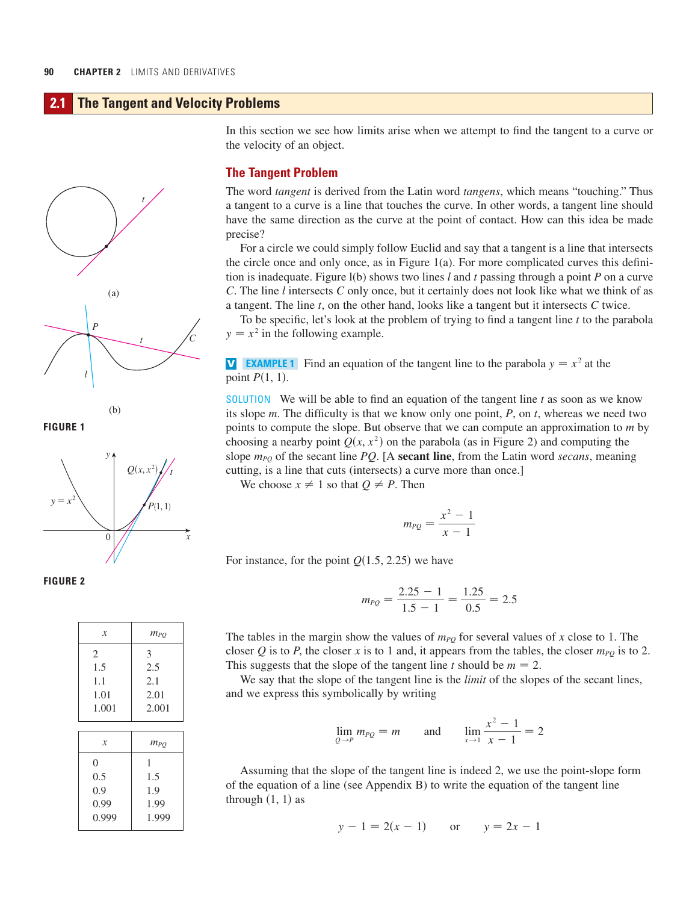# **2.1 The Tangent and Velocity Problems**



(b)

**FIGURE 1**



**FIGURE 2** 

| x                   | $m_{PQ}$ |
|---------------------|----------|
| 2                   | 3        |
| 1.5                 | 2.5      |
| 1.1                 | 2.1      |
| 1.01                | 2.01     |
| 1.001               | 2.001    |
|                     |          |
| $\boldsymbol{\chi}$ | $m_{PO}$ |
| $\theta$            | 1        |
| 0.5                 | 1.5      |
| 0.9                 | 1.9      |
| 0.99                | 1.99     |

0.999 1.999

In this section we see how limits arise when we attempt to find the tangent to a curve or the velocity of an object.

### **The Tangent Problem**

The word *tangent* is derived from the Latin word *tangens*, which means "touching." Thus a tangent to a curve is a line that touches the curve. In other words, a tangent line should have the same direction as the curve at the point of contact. How can this idea be made precise?

For a circle we could simply follow Euclid and say that a tangent is a line that intersects the circle once and only once, as in Figure 1(a). For more complicated curves this definition is inadequate. Figure  $l(b)$  shows two lines  $l$  and  $t$  passing through a point  $P$  on a curve *C*. The line *l* intersects *C* only once, but it certainly does not look like what we think of as a tangent. The line  $t$ , on the other hand, looks like a tangent but it intersects  $C$  twice.

To be specific, let's look at the problem of trying to find a tangent line t to the parabola  $y = x^2$  in the following example.

**V EXAMPLE 1** Find an equation of the tangent line to the parabola  $y = x^2$  at the point  $P(1, 1)$ .

SOLUTION We will be able to find an equation of the tangent line  $t$  as soon as we know its slope  $m$ . The difficulty is that we know only one point,  $P$ , on  $t$ , whereas we need two points to compute the slope. But observe that we can compute an approximation to m by choosing a nearby point  $Q(x, x^2)$  on the parabola (as in Figure 2) and computing the slope  $m_{PQ}$  of the secant line *PQ*. [A **secant line**, from the Latin word *secans*, meaning cutting, is a line that cuts (intersects) a curve more than once.]

We choose  $x \neq 1$  so that  $Q \neq P$ . Then

$$
m_{PQ} = \frac{x^2 - 1}{x - 1}
$$

For instance, for the point  $Q(1.5, 2.25)$  we have

$$
m_{PQ} = \frac{2.25 - 1}{1.5 - 1} = \frac{1.25}{0.5} = 2.5
$$

The tables in the margin show the values of  $m_{PQ}$  for several values of x close to 1. The closer Q is to P, the closer x is to 1 and, it appears from the tables, the closer  $m_{PQ}$  is to 2. This suggests that the slope of the tangent line t should be  $m = 2$ .

We say that the slope of the tangent line is the *limit* of the slopes of the secant lines, and we express this symbolically by writing

$$
\lim_{Q \to P} m_{PQ} = m \quad \text{and} \quad \lim_{x \to 1} \frac{x^2 - 1}{x - 1} = 2
$$

Assuming that the slope of the tangent line is indeed 2, we use the point-slope form of the equation of a line (see Appendix B) to write the equation of the tangent line through  $(1, 1)$  as

$$
y - 1 = 2(x - 1)
$$
 or  $y = 2x - 1$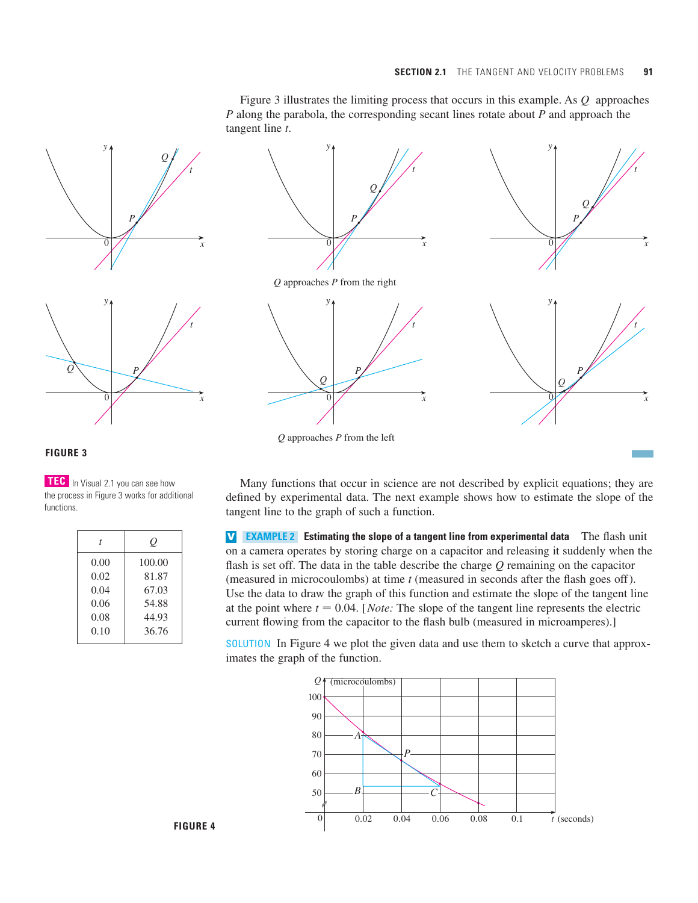t

t

Figure 3 illustrates the limiting process that occurs in this example. As  $Q$  approaches P along the parabola, the corresponding secant lines rotate about P and approach the tangent line t.





## **FIGURE 3**

**TEC** In Visual 2.1 you can see how the process in Figure 3 works for additional functions.

| t    | O      |
|------|--------|
| 0.00 | 100.00 |
| 0.02 | 81.87  |
| 0.04 | 67.03  |
| 0.06 | 54.88  |
| 0.08 | 44.93  |
| 0.10 | 36.76  |
|      |        |

Many functions that occur in science are not described by explicit equations; they are defined by experimental data. The next example shows how to estimate the slope of the tangent line to the graph of such a function.

**v EXAMPLE 2** Estimating the slope of a tangent line from experimental data The flash unit on a camera operates by storing charge on a capacitor and releasing it suddenly when the flash is set off. The data in the table describe the charge *Q* remaining on the capacitor (measured in microcoulombs) at time *t* (measured in seconds after the flash goes off). Use the data to draw the graph of this function and estimate the slope of the tangent line at the point where  $t = 0.04$ . [*Note:* The slope of the tangent line represents the electric current flowing from the capacitor to the flash bulb (measured in microamperes).]

SOLUTION In Figure 4 we plot the given data and use them to sketch a curve that approximates the graph of the function.

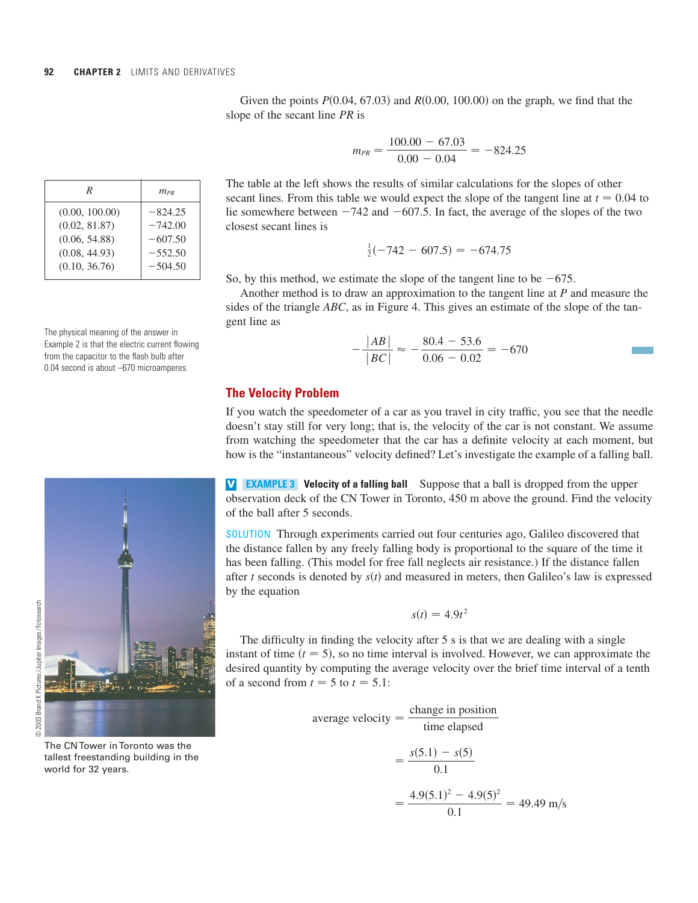| R              | $m_{PR}$  |
|----------------|-----------|
| (0.00, 100.00) | $-824.25$ |
| (0.02, 81.87)  | $-742.00$ |
| (0.06, 54.88)  | $-607.50$ |
| (0.08, 44.93)  | $-552.50$ |
| (0.10, 36.76)  | $-504.50$ |
|                |           |

The physical meaning of the answer in Example 2 is that the electric current flowing from the capacitor to the flash bulb after 0.04 second is about –670 microamperes.

$$
\begin{array}{c}\n\hline\n\end{array}
$$

The CN Tower in Toronto was the tallest freestanding building in the world for 32 years.

Given the points  $P(0.04, 67.03)$  and  $R(0.00, 100.00)$  on the graph, we find that the slope of the secant line *PR* is

$$
m_{PR} = \frac{100.00 - 67.03}{0.00 - 0.04} = -824.25
$$

The table at the left shows the results of similar calculations for the slopes of other secant lines. From this table we would expect the slope of the tangent line at  $t = 0.04$  to lie somewhere between  $-742$  and  $-607.5$ . In fact, the average of the slopes of the two closest secant lines is

$$
\frac{1}{2}(-742 - 607.5) = -674.75
$$

So, by this method, we estimate the slope of the tangent line to be  $-675$ .

Another method is to draw an approximation to the tangent line at *P* and measure the sides of the triangle *ABC*, as in Figure 4. This gives an estimate of the slope of the tangent line as

$$
-\frac{|AB|}{|BC|} \approx -\frac{80.4 - 53.6}{0.06 - 0.02} = -670
$$

### **The Velocity Problem**

If you watch the speedometer of a car as you travel in city traffic, you see that the needle doesn't stay still for very long; that is, the velocity of the car is not constant. We assume from watching the speedometer that the car has a definite velocity at each moment, but how is the "instantaneous" velocity defined? Let's investigate the example of a falling ball.

**V EXAMPLE 3** Velocity of a falling ball Suppose that a ball is dropped from the upper observation deck of the CN Tower in Toronto, 450 m above the ground. Find the velocity of the ball after 5 seconds.

SOLUTION Through experiments carried out four centuries ago, Galileo discovered that the distance fallen by any freely falling body is proportional to the square of the time it has been falling. (This model for free fall neglects air resistance.) If the distance fallen after t seconds is denoted by  $s(t)$  and measured in meters, then Galileo's law is expressed by the equation

$$
s(t) = 4.9t^2
$$

The difficulty in finding the velocity after 5 s is that we are dealing with a single instant of time  $(t = 5)$ , so no time interval is involved. However, we can approximate the desired quantity by computing the average velocity over the brief time interval of a tenth of a second from  $t = 5$  to  $t = 5.1$ :

average velocity = 
$$
\frac{\text{change in position}}{\text{time elapsed}}
$$
  
=  $\frac{s(5.1) - s(5)}{0.1}$   
=  $\frac{4.9(5.1)^2 - 4.9(5)^2}{0.1} = 49.49 \text{ m/s}$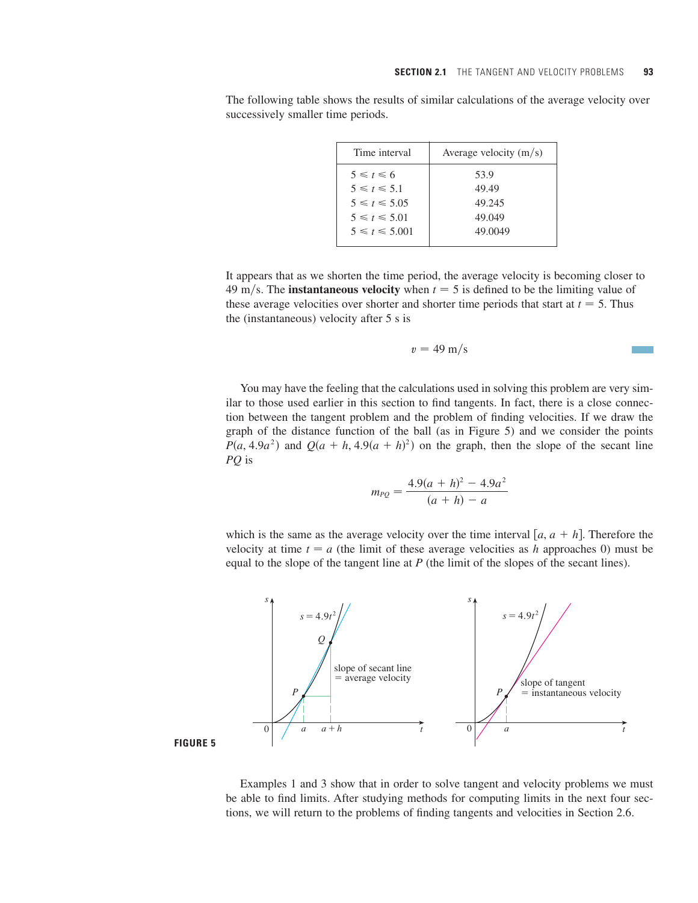Time interval  $\vert$  Average velocity  $(m/s)$ 53.9 49.49 49.245 49.049 49.0049  $5 \leq t \leq 5.01$  $5 \leq t \leq 5.05$  $5 \leq t \leq 5.1$  $5 \le t \le 6$ 

The following table shows the results of similar calculations of the average velocity over successively smaller time periods.

It appears that as we shorten the time period, the average velocity is becoming closer to 49 m/s. The **instantaneous velocity** when  $t = 5$  is defined to be the limiting value of these average velocities over shorter and shorter time periods that start at  $t = 5$ . Thus the (instantaneous) velocity after 5 s is

$$
v=49\ \mathrm{m/s}
$$

You may have the feeling that the calculations used in solving this problem are very similar to those used earlier in this section to find tangents. In fact, there is a close connection between the tangent problem and the problem of finding velocities. If we draw the graph of the distance function of the ball (as in Figure 5) and we consider the points  $P(a, 4.9a^2)$  and  $Q(a + h, 4.9(a + h)^2)$  on the graph, then the slope of the secant line is *PQ*

$$
m_{PQ} = \frac{4.9(a+h)^2 - 4.9a^2}{(a+h) - a}
$$

which is the same as the average velocity over the time interval  $[a, a + h]$ . Therefore the velocity at time  $t = a$  (the limit of these average velocities as h approaches 0) must be equal to the slope of the tangent line at  $P$  (the limit of the slopes of the secant lines).



**FIGURE 5**

Examples 1 and 3 show that in order to solve tangent and velocity problems we must be able to find limits. After studying methods for computing limits in the next four sections, we will return to the problems of finding tangents and velocities in Section 2.6.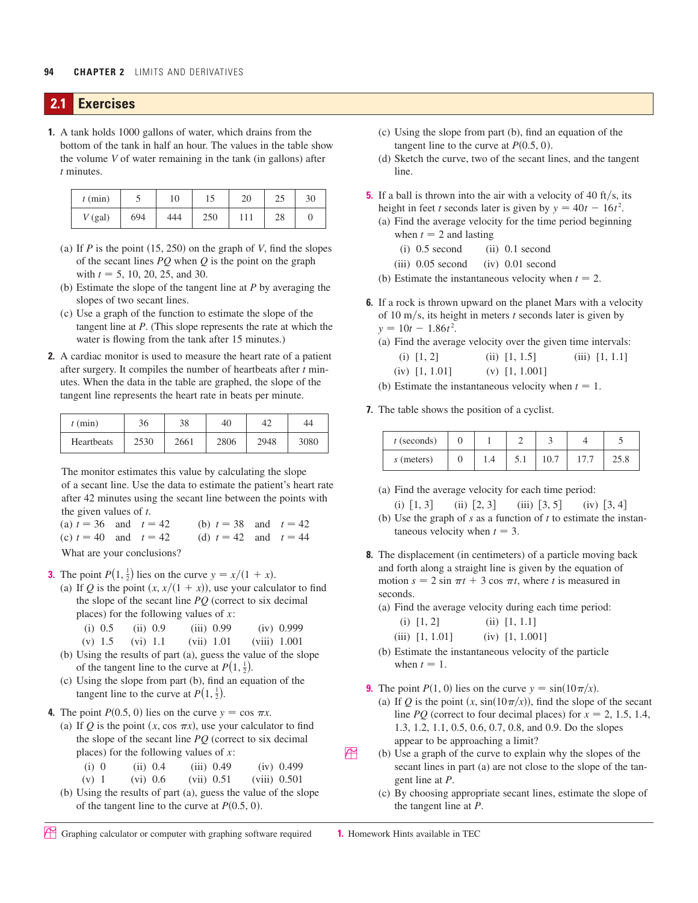### **2.1 Exercises**

**1.** A tank holds 1000 gallons of water, which drains from the bottom of the tank in half an hour. The values in the table show the volume *V* of water remaining in the tank (in gallons) after *t* minutes.

| $t$ (min) |     | 10  |     |    | 30 |
|-----------|-----|-----|-----|----|----|
| $V$ (gal) | 694 | 444 | 250 | 20 |    |

- (a) If  $P$  is the point  $(15, 250)$  on the graph of  $V$ , find the slopes of the secant lines *PQ* when *Q* is the point on the graph with  $t = 5$ , 10, 20, 25, and 30.
- (b) Estimate the slope of the tangent line at *P* by averaging the slopes of two secant lines.
- (c) Use a graph of the function to estimate the slope of the tangent line at *P*. (This slope represents the rate at which the water is flowing from the tank after 15 minutes.)
- **2.** A cardiac monitor is used to measure the heart rate of a patient after surgery. It compiles the number of heartbeats after *t* minutes. When the data in the table are graphed, the slope of the tangent line represents the heart rate in beats per minute.

| (min)      | $\sim$<br>36 | $\Omega$<br>20 | 40   | 44   | 44   |           |  |   |  |  |
|------------|--------------|----------------|------|------|------|-----------|--|---|--|--|
| Heartbeats | 2530         | 2661           | 2806 | 2948 | 3080 | (seconds) |  | - |  |  |

The monitor estimates this value by calculating the slope of a secant line. Use the data to estimate the patient's heart rate after 42 minutes using the secant line between the points with the given values of *t*.

 $(a) t = 36$  and  $t =$  $= 42$  (b)  $t = 38$  and  $t = 42$ 

(c)  $t = 40$  and  $t =$  $= 42$  (d)  $t = 42$  and  $t = 44$ 

What are your conclusions?

- **3.** The point  $P(1, \frac{1}{2})$  lies on the curve  $y = x/(1 + x)$ .
	- (a) If Q is the point  $(x, x/(1 + x))$ , use your calculator to find the slope of the secant line  $PQ$  (correct to six decimal places) for the following values of  $x$ :
		- (i) 0.5 (ii) 0.9 (iii) 0.99 (iv) 0.999
	- (v) 1.5 (vi) 1.1 (vii) 1.01 (viii) 1.001 (b) Using the results of part (a), guess the value of the slope of the tangent line to the curve at  $P(1, \frac{1}{2})$ .
	- (c) Using the slope from part (b), find an equation of the tangent line to the curve at  $P(1, \frac{1}{2})$ .
- **4.** The point  $P(0.5, 0)$  lies on the curve  $y = \cos \pi x$ .
- (a) If Q is the point  $(x, \cos \pi x)$ , use your calculator to find the slope of the secant line  $PQ$  (correct to six decimal places) for the following values of  $x$ :
	- (i) 0 (ii) 0.4 (iii) 0.49 (iv) 0.499
	- (v) 1 (vi) 0.6 (vii) 0.51 (viii) 0.501
- (b) Using the results of part (a), guess the value of the slope of the tangent line to the curve at  $P(0.5, 0)$ .
- (c) Using the slope from part (b), find an equation of the tangent line to the curve at  $P(0.5, 0)$ .
- (d) Sketch the curve, two of the secant lines, and the tangent line.
- **5.** If a ball is thrown into the air with a velocity of 40 ft/s, its height in feet *t* seconds later is given by  $y = 40t - 16t^2$ .
	- (a) Find the average velocity for the time period beginning when  $t = 2$  and lasting
		- $(i)$  0.5 second  $(ii)$  0.1 second
		- (iii) 0.05 second (iv) 0.01 second
	- (b) Estimate the instantaneous velocity when  $t = 2$ .
- **6.** If a rock is thrown upward on the planet Mars with a velocity of 10 m/s, its height in meters  $t$  seconds later is given by  $y = 10t - 1.86t^2$ .
	- (a) Find the average velocity over the given time intervals: (i)  $[1, 2]$  (ii)  $[1, 1.5]$  (iii)  $[1, 1.1]$ 
		- (iv) [1, 1.01] (v) [1, 1.001]
	- (b) Estimate the instantaneous velocity when  $t = 1$ .
- **7.** The table shows the position of a cyclist.

| $t$ (seconds) |  |              |  |      |
|---------------|--|--------------|--|------|
| s (meters)    |  | $_{\rm 5.1}$ |  | 2J.C |

- (a) Find the average velocity for each time period:
- (i)  $[1, 3]$  (ii)  $[2, 3]$  (iii)  $[3, 5]$  (iv)  $[3, 4]$ (b) Use the graph of  $s$  as a function of  $t$  to estimate the instantaneous velocity when  $t = 3$ .
- **8.** The displacement (in centimeters) of a particle moving back and forth along a straight line is given by the equation of motion  $s = 2 \sin \pi t + 3 \cos \pi t$ , where *t* is measured in seconds.
	- (a) Find the average velocity during each time period:
		- (i)  $[1, 2]$  (ii)  $[1, 1.1]$
		- (iii)  $[1, 1.01]$  (iv)  $[1, 1.001]$
	- (b) Estimate the instantaneous velocity of the particle when  $t = 1$ .
- **9.** The point  $P(1, 0)$  lies on the curve  $y = \sin(10\pi/x)$ .
	- (a) If Q is the point  $(x, \sin(10\pi/x))$ , find the slope of the secant line  $PQ$  (correct to four decimal places) for  $x = 2, 1.5, 1.4$ , 1.3, 1.2, 1.1, 0.5, 0.6, 0.7, 0.8, and 0.9. Do the slopes appear to be approaching a limit?
- $\overrightarrow{P}$  (b) Use a graph of the curve to explain why the slopes of the secant lines in part (a) are not close to the slope of the tangent line at P.
	- (c) By choosing appropriate secant lines, estimate the slope of the tangent line at *.*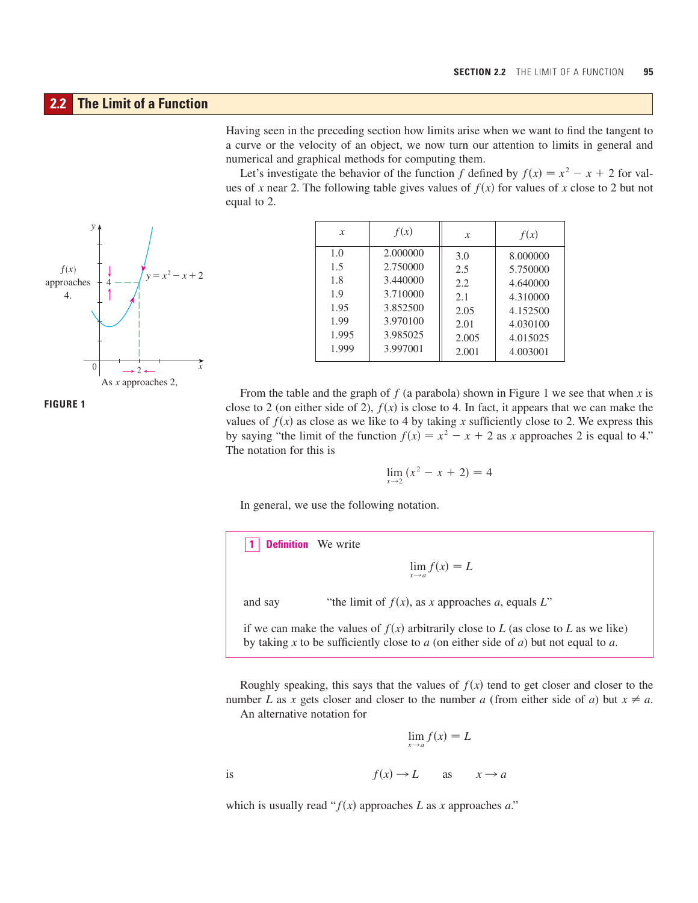# **2.2 The Limit of a Function**

Having seen in the preceding section how limits arise when we want to find the tangent to a curve or the velocity of an object, we now turn our attention to limits in general and numerical and graphical methods for computing them.

Let's investigate the behavior of the function f defined by  $f(x) = x^2 - x + 2$  for values of x near 2. The following table gives values of  $f(x)$  for values of x close to 2 but not equal to 2.



| $\boldsymbol{x}$ | f(x)     | X     | f(x)     |
|------------------|----------|-------|----------|
| 1.0              | 2.000000 | 3.0   | 8.000000 |
| 1.5              | 2.750000 | 2.5   | 5.750000 |
| 1.8              | 3.440000 | 2.2.  | 4.640000 |
| 1.9              | 3.710000 | 2.1   | 4.310000 |
| 1.95             | 3.852500 | 2.05  | 4.152500 |
| 1.99             | 3.970100 | 2.01  | 4.030100 |
| 1.995            | 3.985025 | 2.005 | 4.015025 |
| 1.999            | 3.997001 | 2.001 | 4.003001 |

From the table and the graph of  $f$  (a parabola) shown in Figure 1 we see that when  $x$  is close to 2 (on either side of 2),  $f(x)$  is close to 4. In fact, it appears that we can make the values of  $f(x)$  as close as we like to 4 by taking x sufficiently close to 2. We express this by saying "the limit of the function  $f(x) = x^2 - x + 2$  as x approaches 2 is equal to 4." The notation for this is

$$
\lim_{x \to 2} (x^2 - x + 2) = 4
$$

In general, we use the following notation.

**Definition** We write **1**

 $\lim_{x\to a} f(x) = L$ 

and say "the limit of  $f(x)$ , as x approaches a, equals L"

if we can make the values of  $f(x)$  arbitrarily close to *L* (as close to *L* as we like) by taking x to be sufficiently close to  $a$  (on either side of  $a$ ) but not equal to  $a$ .

Roughly speaking, this says that the values of  $f(x)$  tend to get closer and closer to the number L as x gets closer and closer to the number a (from either side of a) but  $x \neq a$ . An alternative notation for

 $\lim_{x\to a} f(x) = L$ 

is  $f(x) \to L$  as  $x \to a$ 

which is usually read " $f(x)$  approaches L as x approaches a."

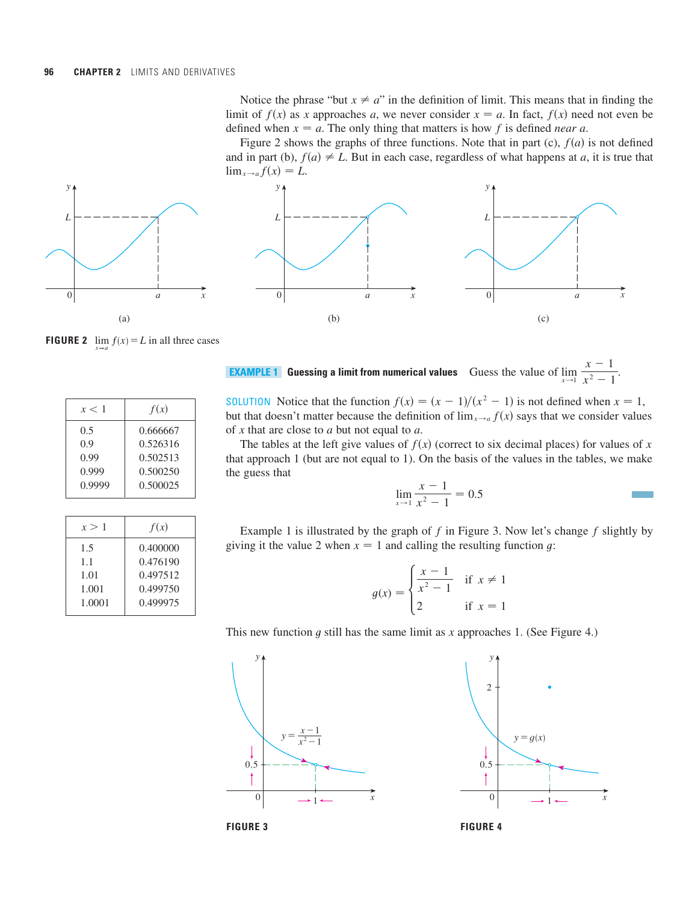Notice the phrase "but  $x \neq a$ " in the definition of limit. This means that in finding the limit of  $f(x)$  as x approaches a, we never consider  $x = a$ . In fact,  $f(x)$  need not even be defined when  $x = a$ . The only thing that matters is how f is defined *near* a.

Figure 2 shows the graphs of three functions. Note that in part (c),  $f(a)$  is not defined and in part (b),  $f(a) \neq L$ . But in each case, regardless of what happens at a, it is true that  $\lim_{x\to a} f(x) = L.$ 





**FIGURE 2**  $\lim_{x \to \infty} f(x) = L$  in all three cases

| x < 1  | f(x)     |
|--------|----------|
| 0.5    | 0.666667 |
| 0.9    | 0.526316 |
| 0.99   | 0.502513 |
| 0.999  | 0.500250 |
| 0.9999 | 0.500025 |

| x > 1  | f(x)     |
|--------|----------|
| 1.5    | 0.400000 |
| 1.1    | 0.476190 |
| 1.01   | 0.497512 |
| 1.001  | 0.499750 |
| 1.0001 | 0.499975 |
|        |          |

**Guessing a limit from numerical values** Guess the value of  $\lim_{x\to 1} \frac{x}{x^2-1}$ .  $x - 1$ **EXAMPLE 1** Guessing a limit from numerical values Guess the value of  $\lim_{x\to 1} \frac{x^2-1}{x^2-1}$ 

SOLUTION Notice that the function  $f(x) = (x - 1)/(x^2 - 1)$  is not defined when  $x = 1$ , but that doesn't matter because the definition of  $\lim_{x\to a} f(x)$  says that we consider values of  $x$  that are close to  $a$  but not equal to  $a$ .

The tables at the left give values of  $f(x)$  (correct to six decimal places) for values of x that approach 1 (but are not equal to 1). On the basis of the values in the tables, we make the guess that

$$
\lim_{x \to 1} \frac{x-1}{x^2 - 1} = 0.5
$$

Example 1 is illustrated by the graph of  $f$  in Figure 3. Now let's change  $f$  slightly by giving it the value 2 when  $x = 1$  and calling the resulting function g:

$$
g(x) = \begin{cases} \frac{x-1}{x^2 - 1} & \text{if } x \neq 1 \\ 2 & \text{if } x = 1 \end{cases}
$$

This new function  $g$  still has the same limit as  $x$  approaches 1. (See Figure 4.)





x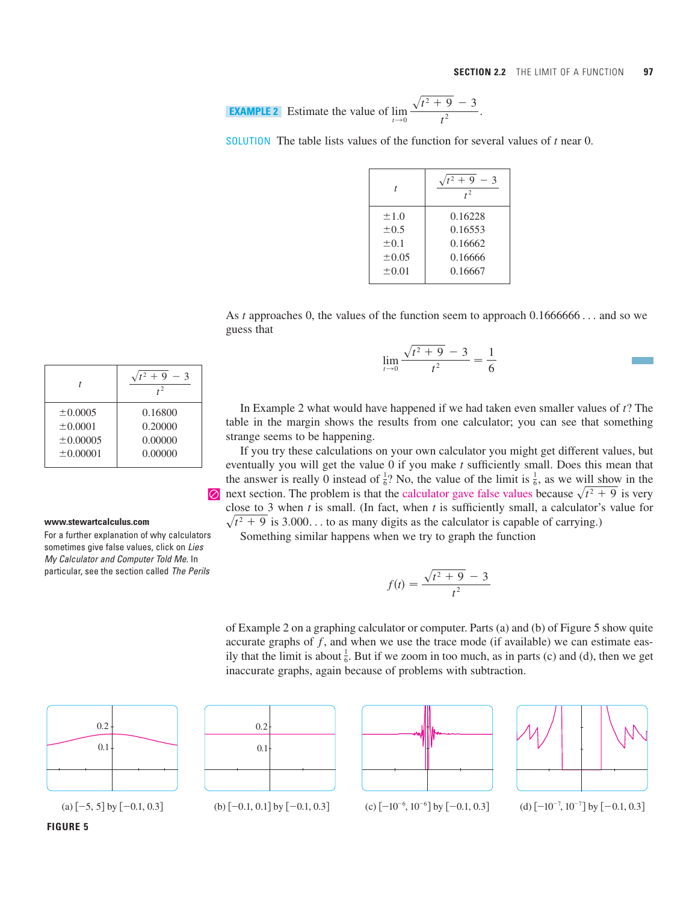**EXAMPLE 2** Estimate the value of 
$$
\lim_{t \to 0} \frac{\sqrt{t^2 + 9} - 3}{t^2}
$$
.

SOLUTION The table lists values of the function for several values of  $t$  near 0.

| t          | $t^2 + 9 - 3$<br>$t^2$ |
|------------|------------------------|
| ±1.0       | 0.16228                |
| $\pm 0.5$  | 0.16553                |
| $\pm 0.1$  | 0.16662                |
| ±0.05      | 0.16666                |
| $\pm 0.01$ | 0.16667                |
|            |                        |

As t approaches 0, the values of the function seem to approach  $0.1666666...$  and so we guess that

$$
\lim_{t \to 0} \frac{\sqrt{t^2 + 9} - 3}{t^2} = \frac{1}{6}
$$

In Example 2 what would have happened if we had taken even smaller values of  $t$ ? The table in the margin shows the results from one calculator; you can see that something strange seems to be happening.

If you try these calculations on your own calculator you might get different values, but eventually you will get the value 0 if you make t sufficiently small. Does this mean that the answer is really 0 instead of  $\frac{1}{6}$ ? No, the value of the limit is  $\frac{1}{6}$ , as we will show in the  $\oslash$  next section. The problem is that the calculator gave false values because  $\sqrt{t^2 + 9}$  is very close to 3 when t is small. (In fact, when t is sufficiently small, a calculator's value for  $\sqrt{t^2 + 9}$  is 3.000... to as many digits as the calculator is capable of carrying.)

Something similar happens when we try to graph the function

$$
f(t) = \frac{\sqrt{t^2 + 9} - 3}{t^2}
$$

of Example 2 on a graphing calculator or computer. Parts (a) and (b) of Figure 5 show quite accurate graphs of  $f$ , and when we use the trace mode (if available) we can estimate easily that the limit is about  $\frac{1}{6}$ . But if we zoom in too much, as in parts (c) and (d), then we get inaccurate graphs, again because of problems with subtraction.



(a)  $[-5, 5]$  by  $[-0.1, 0.3]$ 





(b)  $[-0.1, 0.1]$  by  $[-0.1, 0.3]$  (c)  $[-10^{-6}, 10^{-6}]$  by  $[-0.1, 0.3]$  (d)  $[-10^{-7}, 10^{-7}]$  by  $[-0.1, 0.3]$ 



|                    | $t^2 + 9$<br>$-3$  |
|--------------------|--------------------|
| ±0.0005<br>±0.0001 | 0.16800<br>0.20000 |
| $\pm 0.00005$      | 0.00000            |
| $\pm 0.00001$      | 0.00000            |

#### **www.stewartcalculus.com**

For a further explanation of why calculators sometimes give false values, click on Lies My Calculator and Computer Told Me. In particular, see the section called The Perils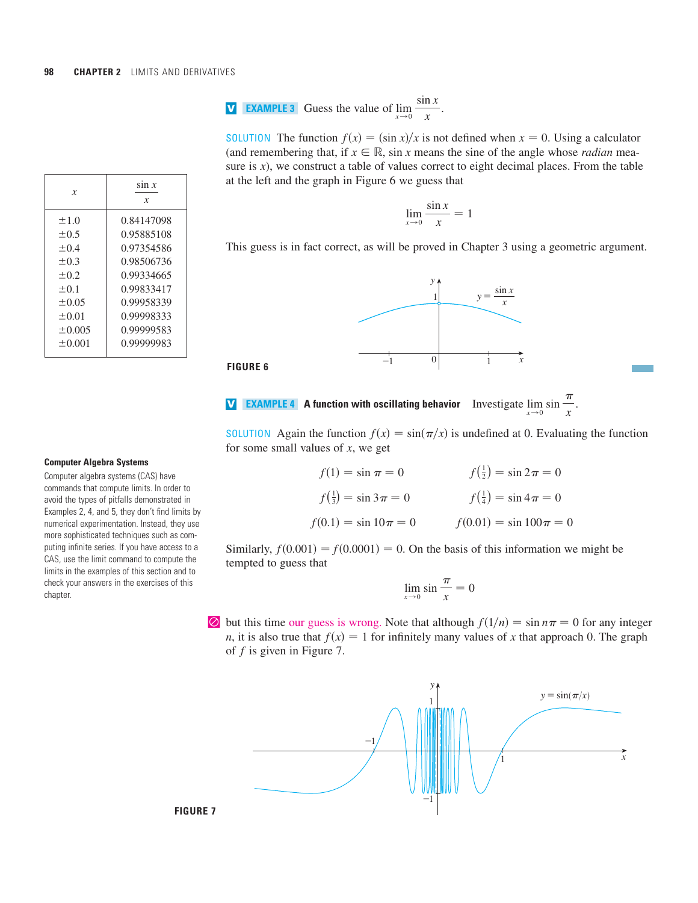**V EXAMPLE 3** Guess the value of 
$$
\lim_{x \to 0} \frac{\sin x}{x}
$$
.

**SOLUTION** The function  $f(x) = (\sin x)/x$  is not defined when  $x = 0$ . Using a calculator (and remembering that, if  $x \in \mathbb{R}$ , sin *x* means the sine of the angle whose *radian* measure is  $x$ ), we construct a table of values correct to eight decimal places. From the table at the left and the graph in Figure 6 we guess that

$$
\lim_{x \to 0} \frac{\sin x}{x} = 1
$$

This guess is in fact correct, as will be proved in Chapter 3 using a geometric argument.



**FIGURE 6** 



**SOLUTION** Again the function  $f(x) = \sin(\pi/x)$  is undefined at 0. Evaluating the function for some small values of  $x$ , we get

| $f(1) = \sin \pi = 0$            | $f(\frac{1}{2}) = \sin 2\pi = 0$ |
|----------------------------------|----------------------------------|
| $f(\frac{1}{3}) = \sin 3\pi = 0$ | $f(\frac{1}{4}) = \sin 4\pi = 0$ |
| $f(0.1) = \sin 10\pi = 0$        | $f(0.01) = \sin 100\pi = 0$      |

Similarly,  $f(0.001) = f(0.0001) = 0$ . On the basis of this information we might be tempted to guess that

$$
\lim_{x \to 0} \sin \frac{\pi}{x} = 0
$$

 $\circledcirc$  but this time our guess is wrong. Note that although  $f(1/n) = \sin n\pi = 0$  for any integer *n*, it is also true that  $f(x) = 1$  for infinitely many values of x that approach 0. The graph of  $f$  is given in Figure 7.



| x           | $\sin x$<br>X |
|-------------|---------------|
| ±1.0        | 0.84147098    |
| $\pm 0.5$   | 0.95885108    |
| $+0.4$      | 0.97354586    |
| $\pm 0.3$   | 0.98506736    |
| $+0.2$      | 0.99334665    |
| $\pm 0.1$   | 0.99833417    |
| $+0.05$     | 0.99958339    |
| $\pm 0.01$  | 0.99998333    |
| $\pm 0.005$ | 0.99999583    |
| $+0.001$    | 0.99999983    |
|             |               |

#### **Computer Algebra Systems**

Computer algebra systems (CAS) have commands that compute limits. In order to avoid the types of pitfalls demonstrated in Examples 2, 4, and 5, they don't find limits by numerical experimentation. Instead, they use more sophisticated techniques such as computing infinite series. If you have access to a CAS, use the limit command to compute the limits in the examples of this section and to check your answers in the exercises of this chapter.

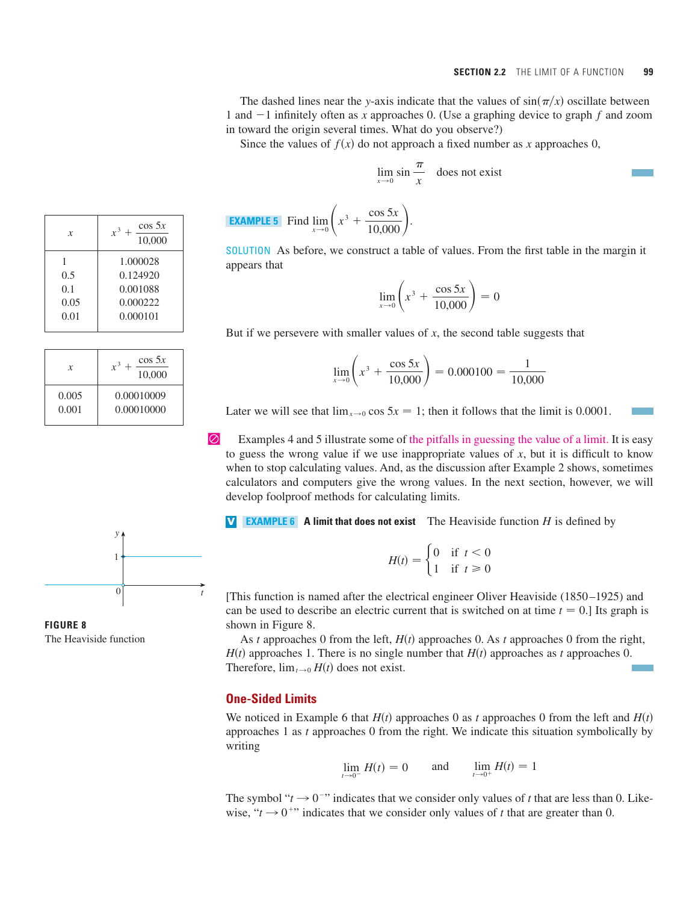The dashed lines near the y-axis indicate that the values of  $sin(\pi/x)$  oscillate between 1 and  $-1$  infinitely often as x approaches 0. (Use a graphing device to graph  $f$  and zoom in toward the origin several times. What do you observe?)

Since the values of  $f(x)$  do not approach a fixed number as x approaches 0,

$$
\lim_{x \to 0} \sin \frac{\pi}{x} \quad \text{does not exist}
$$

**EXAMPLE 5** Find 
$$
\lim_{x \to 0} \left( x^3 + \frac{\cos 5x}{10,000} \right).
$$

SOLUTION As before, we construct a table of values. From the first table in the margin it appears that

$$
\lim_{x \to 0} \left( x^3 + \frac{\cos 5x}{10,000} \right) = 0
$$

But if we persevere with smaller values of x, the second table suggests that

$$
\lim_{x \to 0} \left( x^3 + \frac{\cos 5x}{10,000} \right) = 0.000100 = \frac{1}{10,000}
$$

Later we will see that  $\lim_{x\to 0} \cos 5x = 1$ ; then it follows that the limit is 0.0001.

| Examples 4 and 5 illustrate some of the pitfalls in guessing the value of a limit. It is easy to guess the wrong value if we use inappropriate values of  $x$ , but it is difficult to know when to stop calculating values. And, as the discussion after Example 2 shows, sometimes calculators and computers give the wrong values. In the next section, however, we will develop foolproof methods for calculating limits.

**V EXAMPLE 6 A limit that does not exist** The Heaviside function  $H$  is defined by

$$
H(t) = \begin{cases} 0 & \text{if } t < 0 \\ 1 & \text{if } t \ge 0 \end{cases}
$$

[This function is named after the electrical engineer Oliver Heaviside (1850 –1925) and can be used to describe an electric current that is switched on at time  $t = 0$ .] Its graph is shown in Figure 8.

As t approaches 0 from the left,  $H(t)$  approaches 0. As t approaches 0 from the right,  $H(t)$  approaches 1. There is no single number that  $H(t)$  approaches as t approaches 0. Therefore,  $\lim_{t\to 0} H(t)$  does not exist.

### **One-Sided Limits**

We noticed in Example 6 that  $H(t)$  approaches 0 as t approaches 0 from the left and  $H(t)$ approaches 1 as  $t$  approaches 0 from the right. We indicate this situation symbolically by writing

$$
\lim_{t \to 0^-} H(t) = 0 \quad \text{and} \quad \lim_{t \to 0^+} H(t) = 1
$$

The symbol " $t \rightarrow 0$ " indicates that we consider only values of t that are less than 0. Likewise, " $t \rightarrow 0^{+}$ " indicates that we consider only values of t that are greater than 0.

| x    | $\cos 5x$<br>$x^3$<br>10,000 |
|------|------------------------------|
|      | 1.000028                     |
| 0.5  | 0.124920                     |
| 0.1  | 0.001088                     |
| 0.05 | 0.000222                     |
| 0.01 | 0.000101                     |

| x     | $\cos 5x$<br>$r^3$<br>10,000 |
|-------|------------------------------|
| 0.005 | 0.00010009                   |
| 0.001 | 0.00010000                   |



**FIGURE 8**  The Heaviside function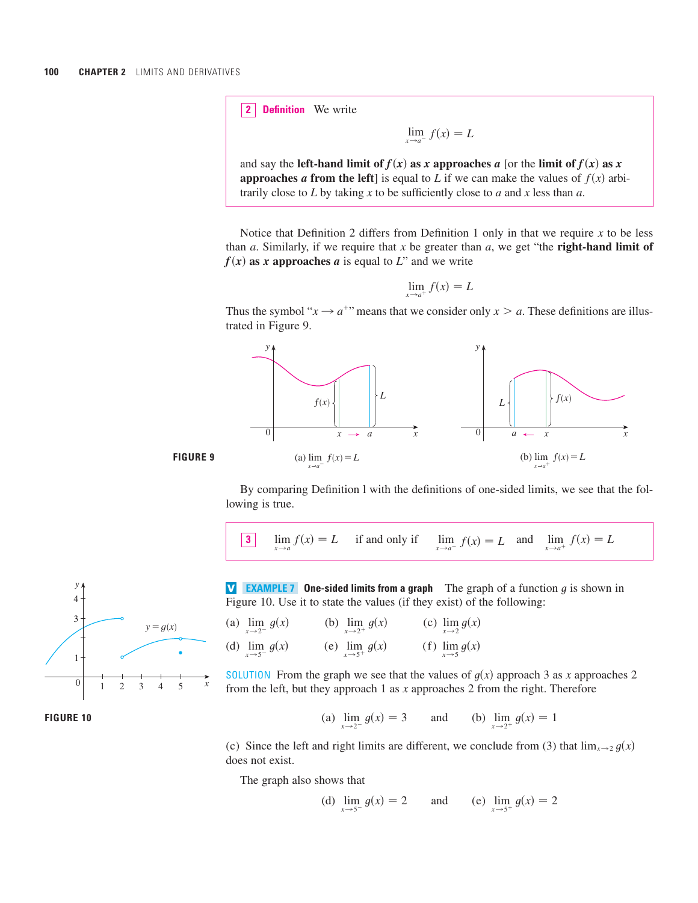**Definition** We write **2**

 $\lim_{x\to a^{-}} f(x) = L$ 

and say the **left-hand limit of**  $f(x)$  **as x approaches** *a* **[or the limit of**  $f(x)$  **as x approaches a from the left**] is equal to L if we can make the values of  $f(x)$  arbitrarily close to *L* by taking *x* to be sufficiently close to *a* and *x* less than *a*.

Notice that Definition 2 differs from Definition 1 only in that we require  $x$  to be less than  $a$ . Similarly, if we require that  $x$  be greater than  $a$ , we get "the **right-hand limit of**  $f(x)$  as x approaches a is equal to L" and we write

$$
\lim_{x \to a^+} f(x) = L
$$

Thus the symbol " $x \rightarrow a^{+}$ " means that we consider only  $x > a$ . These definitions are illustrated in Figure 9.



By comparing Definition l with the definitions of one-sided limits, we see that the following is true.

3 
$$
\lim_{x \to a} f(x) = L
$$
 if and only if  $\lim_{x \to a^{-}} f(x) = L$  and  $\lim_{x \to a^{+}} f(x) = L$ 



**FIGURE 10**

**V EXAMPLE 7 One-sided limits from a graph** The graph of a function g is shown in Figure 10. Use it to state the values (if they exist) of the following:

| (a) $\lim_{x \to 2^{-}} g(x)$ | (b) $\lim_{x \to 2^+} g(x)$ | (c) $\lim_{x\to 2} g(x)$ |
|-------------------------------|-----------------------------|--------------------------|
| (d) $\lim_{x \to 5^{-}} g(x)$ | (e) $\lim_{x \to 5^+} g(x)$ | (f) $\lim_{x\to 5} g(x)$ |

SOLUTION From the graph we see that the values of  $g(x)$  approach 3 as x approaches 2 from the left, but they approach 1 as x approaches 2 from the right. Therefore

(a) 
$$
\lim_{x \to 2^{-}} g(x) = 3
$$
 and (b)  $\lim_{x \to 2^{+}} g(x) = 1$ 

(c) Since the left and right limits are different, we conclude from (3) that  $\lim_{x\to 2} g(x)$ does not exist.

The graph also shows that

(d) 
$$
\lim_{x \to 5^{-}} g(x) = 2
$$
 and (e)  $\lim_{x \to 5^{+}} g(x) = 2$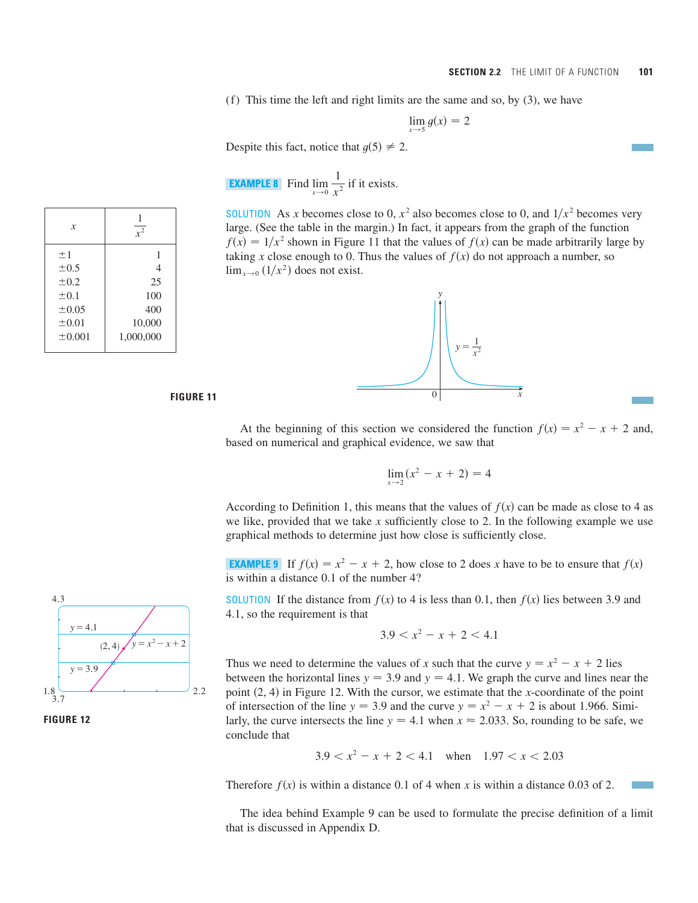(f) This time the left and right limits are the same and so, by (3), we have

$$
\lim_{x \to 5} g(x) = 2
$$

Despite this fact, notice that  $g(5) \neq 2$ .

**EXAMPLE 8** Find 
$$
\lim_{x \to 0} \frac{1}{x^2}
$$
 if it exists.

**SOLUTION** As x becomes close to 0,  $x^2$  also becomes close to 0, and  $1/x^2$  becomes very large. (See the table in the margin.) In fact, it appears from the graph of the function  $f(x) = 1/x^2$  shown in Figure 11 that the values of  $f(x)$  can be made arbitrarily large by taking x close enough to 0. Thus the values of  $f(x)$  do not approach a number, so  $\lim_{x\to 0} (1/x^2)$  does not exist.



*x*  $\pm 1$  1  $\pm 0.5$  4  $\pm 0.2$  25  $\pm 0.1$  100  $\pm 0.05$  400  $\pm 0.01$  10,000  $\pm 0.001$  1,000,000 1 *x*2

#### **FIGURE 11**

At the beginning of this section we considered the function  $f(x) = x^2 - x + 2$  and, based on numerical and graphical evidence, we saw that

$$
\lim_{x \to 2} (x^2 - x + 2) = 4
$$

According to Definition 1, this means that the values of  $f(x)$  can be made as close to 4 as we like, provided that we take  $x$  sufficiently close to 2. In the following example we use graphical methods to determine just how close is sufficiently close.

**EXAMPLE 9** If  $f(x) = x^2 - x + 2$ , how close to 2 does x have to be to ensure that  $f(x)$ is within a distance 0.1 of the number 4?

**SOLUTION** If the distance from  $f(x)$  to 4 is less than 0.1, then  $f(x)$  lies between 3.9 and 4.1, so the requirement is that

$$
3.9 < x^2 - x + 2 < 4.1
$$

Thus we need to determine the values of x such that the curve  $y = x^2 - x + 2$  lies between the horizontal lines  $y = 3.9$  and  $y = 4.1$ . We graph the curve and lines near the point  $(2, 4)$  in Figure 12. With the cursor, we estimate that the x-coordinate of the point of intersection of the line  $y = 3.9$  and the curve  $y = x^2 - x + 2$  is about 1.966. Similarly, the curve intersects the line  $y = 4.1$  when  $x \approx 2.033$ . So, rounding to be safe, we conclude that

$$
3.9 < x^2 - x + 2 < 4.1 \quad \text{when} \quad 1.97 < x < 2.03
$$

Therefore  $f(x)$  is within a distance 0.1 of 4 when x is within a distance 0.03 of 2.

The idea behind Example 9 can be used to formulate the precise definition of a limit that is discussed in Appendix D.



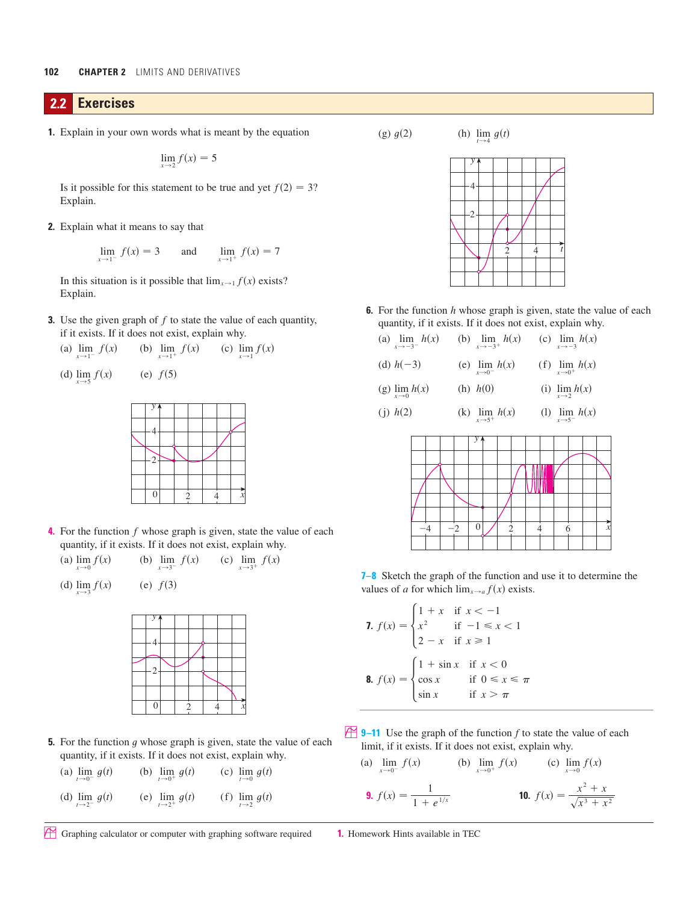## **2.2 Exercises**

**1.** Explain in your own words what is meant by the equation

$$
\lim_{x\to 2} f(x) = 5
$$

Is it possible for this statement to be true and yet  $f(2) = 3$ ? Explain.

**2.** Explain what it means to say that

$$
\lim_{x \to 1^{-}} f(x) = 3 \quad \text{and} \quad \lim_{x \to 1^{+}} f(x) = 7
$$

In this situation is it possible that  $\lim_{x\to 1} f(x)$  exists? Explain.

**3.** Use the given graph of  $f$  to state the value of each quantity, if it exists. If it does not exist, explain why.

| (a) $\lim_{x \to 1^{-}} f(x)$ | (b) $\lim_{x \to 1^+} f(x)$ | (c) $\lim_{x\to 1} f(x)$ |
|-------------------------------|-----------------------------|--------------------------|
|                               |                             |                          |

(d) 
$$
\lim_{x \to 5} f(x)
$$
 (e)  $f(5)$ 



**4.** For the function  $f$  whose graph is given, state the value of each quantity, if it exists. If it does not exist, explain why.

(a)  $\lim_{x \to 0} f(x)$  (b)  $\lim_{x \to 3^{-}} f(x)$  (c)  $\lim_{x \to 3^{-}} f(x)$  (c)  $\lim_{x \to 3^{+}} f(x)$ (a)  $\lim_{x \to 0} f(x)$ 

(d) 
$$
\lim_{x \to 3} f(x)
$$
 (e)  $f(3)$ 



**5.** For the function  $g$  whose graph is given, state the value of each quantity, if it exists. If it does not exist, explain why.

| (a) $\lim_{t \to 0^{-}} g(t)$ | (b) $\lim_{t \to 0^+} g(t)$ | (c) $\lim_{t\to 0} g(t)$ |
|-------------------------------|-----------------------------|--------------------------|
| (d) $\lim_{t\to 2^{-}} g(t)$  | (e) $\lim_{t \to 2^+} g(t)$ | (f) $\lim_{t\to 2} g(t)$ |

(g)  $g(2)$  (h)

2) (h)  $\lim_{t \to 4} g(t)$ 

| 2 |   |  |  |
|---|---|--|--|
|   |   |  |  |
|   |   |  |  |
|   | 2 |  |  |
|   |   |  |  |
|   |   |  |  |

**6.** For the function h whose graph is given, state the value of each quantity, if it exists. If it does not exist, explain why.

| (a) $\lim_{x \to -3^{-}} h(x)$ | (b) $\lim_{x \to -3^+} h(x)$ | (c) $\lim_{x\to -3} h(x)$     |
|--------------------------------|------------------------------|-------------------------------|
| (d) $h(-3)$                    | (e) $\lim_{x \to 0^-} h(x)$  | (f) $\lim_{x \to 0^+} h(x)$   |
| (g) $\lim_{x\to 0} h(x)$       | (h) $h(0)$                   | (i) $\lim_{x\to 2} h(x)$      |
| (j) $h(2)$                     | (k) $\lim_{x \to 5^+} h(x)$  | (1) $\lim_{x \to 5^{-}} h(x)$ |



**7–8** Sketch the graph of the function and use it to determine the values of *a* for which  $\lim_{x\to a} f(x)$  exists.

7. 
$$
f(x) = \begin{cases} 1 + x & \text{if } x < -1 \\ x^2 & \text{if } -1 \le x < 1 \\ 2 - x & \text{if } x \ge 1 \end{cases}
$$
  
8. 
$$
f(x) = \begin{cases} 1 + \sin x & \text{if } x < 0 \\ \cos x & \text{if } 0 \le x \le \pi \\ \sin x & \text{if } x > \pi \end{cases}
$$

**9–11** Use the graph of the function  $f$  to state the value of each limit, if it exists. If it does not exist, explain why.

(a) 
$$
\lim_{x \to 0^{-}} f(x)
$$
 (b)  $\lim_{x \to 0^{+}} f(x)$  (c)  $\lim_{x \to 0} f(x)$ 

**9.** 
$$
f(x) = \frac{1}{1 + e^{1/x}}
$$
 **10.**  $f(x) = \frac{x^2 + x}{\sqrt{x^3 + x^2}}$ 

; Graphing calculator or computer with graphing software required **1.** Homework Hints available in TEC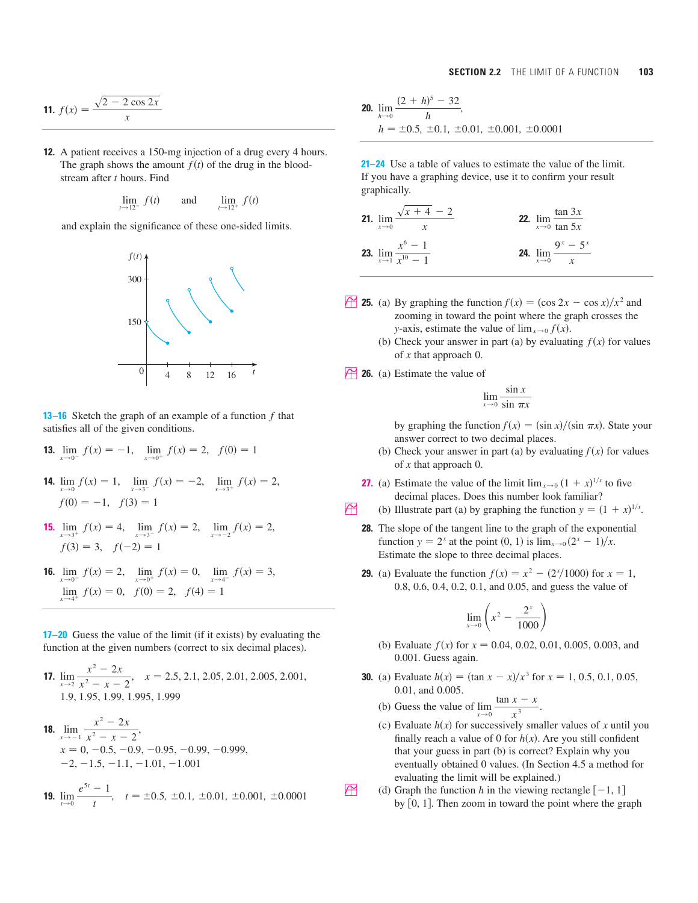$$
11. \ f(x) = \frac{\sqrt{2 - 2\cos 2x}}{x}
$$

**12.** A patient receives a 150-mg injection of a drug every 4 hours. The graph shows the amount  $f(t)$  of the drug in the bloodstream after *t* hours. Find

$$
\lim_{t \to 12^{-}} f(t) \qquad \text{and} \qquad \lim_{t \to 12^{+}} f(t)
$$

and explain the significance of these one-sided limits.



**13–16** Sketch the graph of an example of a function  $f$  that satisfies all of the given conditions.

- **13.**  $\lim_{x \to 0^{-}} f(x) = -1$ ,  $\lim_{x \to 0^{+}} f(x) = 2$ ,  $f(0) = 1$
- **14.**  $\lim_{x \to 0} f(x) = 1$ ,  $\lim_{x \to 3^{-}} f(x) = -2$ ,  $\lim_{x \to 3^{+}} f(x) = 2$ ,  $f(0) = -1, \quad f(3) = 1$
- **15.**  $\lim_{x \to 3^+} f(x) = 4$ ,  $\lim_{x \to 3^-} f(x) = 2$ ,  $\lim_{x \to -2} f(x) = 2$ ,  $f(3) = 3, \quad f(-2) = 1$
- **16.**  $\lim_{x \to 0^{-}} f(x) = 2$ ,  $\lim_{x \to 0^{+}} f(x) = 0$ ,  $\lim_{x \to 4^{-}} f(x) = 3$ ,  $\lim_{x \to 4^+} f(x) = 0, \quad f(0) = 2, \quad f(4) = 1$

**17–20** Guess the value of the limit (if it exists) by evaluating the function at the given numbers (correct to six decimal places).

**17.** 
$$
\lim_{x \to 2} \frac{x^2 - 2x}{x^2 - x - 2}, \quad x = 2.5, 2.1, 2.05, 2.01, 2.005, 2.001, 1.9, 1.95, 1.99, 1.995, 1.999
$$

**18.** 
$$
\lim_{x \to -1} \frac{x^2 - 2x}{x^2 - x - 2}
$$
  
\n
$$
x = 0, -0.5, -0.9, -0.95, -0.99, -0.999,
$$
  
\n
$$
-2, -1.5, -1.1, -1.01, -1.001
$$

**19.** 
$$
\lim_{t \to 0} \frac{e^{5t} - 1}{t}, \quad t = \pm 0.5, \pm 0.1, \pm 0.01, \pm 0.001, \pm 0.0001
$$

$$
\frac{2 \cos 2x}{x}
$$
\n
$$
20. \lim_{h \to 0} \frac{(2+h)^5 - 32}{h},
$$
\n
$$
h = \pm 0.5, \pm 0.1, \pm 0.01, \pm 0.001, \pm 0.0001
$$

**21–24** Use a table of values to estimate the value of the limit. If you have a graphing device, use it to confirm your result graphically.

**21.** 
$$
\lim_{x \to 0} \frac{\sqrt{x+4} - 2}{x}
$$
  
\n**22.** 
$$
\lim_{x \to 0} \frac{\tan 3x}{\tan 5x}
$$
  
\n**23.** 
$$
\lim_{x \to 1} \frac{x^6 - 1}{x^{10} - 1}
$$
  
\n**24.** 
$$
\lim_{x \to 0} \frac{9^x - 5^x}{x}
$$

- **25.** (a) By graphing the function  $f(x) = (\cos 2x \cos x)/x^2$  and zooming in toward the point where the graph crosses the *y*-axis, estimate the value of  $\lim_{x\to 0} f(x)$ .
	- (b) Check your answer in part (a) by evaluating  $f(x)$  for values of x that approach 0.
- **26.** (a) Estimate the value of

$$
\lim_{x \to 0} \frac{\sin x}{\sin \pi x}
$$

by graphing the function  $f(x) = (\sin x)/(\sin \pi x)$ . State your answer correct to two decimal places.

- (b) Check your answer in part (a) by evaluating  $f(x)$  for values of x that approach 0.
- **27.** (a) Estimate the value of the limit  $\lim_{x\to 0} (1 + x)^{1/x}$  to five decimal places. Does this number look familiar?
- (b) Illustrate part (a) by graphing the function  $y = (1 + x)^{1/x}$ .
	- **28.** The slope of the tangent line to the graph of the exponential function  $y = 2^x$  at the point  $(0, 1)$  is  $\lim_{x \to 0} (2^x - 1)/x$ . Estimate the slope to three decimal places.
	- **29.** (a) Evaluate the function  $f(x) = x^2 (2^x/1000)$  for  $x = 1$ , 0.8, 0.6, 0.4, 0.2, 0.1, and 0.05, and guess the value of

$$
\lim_{x \to 0} \left( x^2 - \frac{2^x}{1000} \right)
$$

- (b) Evaluate  $f(x)$  for  $x = 0.04, 0.02, 0.01, 0.005, 0.003,$  and 0.001. Guess again.
- **30.** (a) Evaluate  $h(x) = (\tan x x)/x^3$  for  $x = 1, 0.5, 0.1, 0.05$ , 0.01, and 0.005.
	- (b) Guess the value of  $\lim_{x\to 0} \frac{\tan x}{x^3}$ .  $\tan x - x$ *x* 3
	- (c) Evaluate  $h(x)$  for successively smaller values of x until you finally reach a value of 0 for  $h(x)$ . Are you still confident that your guess in part (b) is correct? Explain why you eventually obtained 0 values. (In Section 4.5 a method for evaluating the limit will be explained.)
- (d) Graph the function *h* in the viewing rectangle  $[-1, 1]$ by  $[0, 1]$ . Then zoom in toward the point where the graph